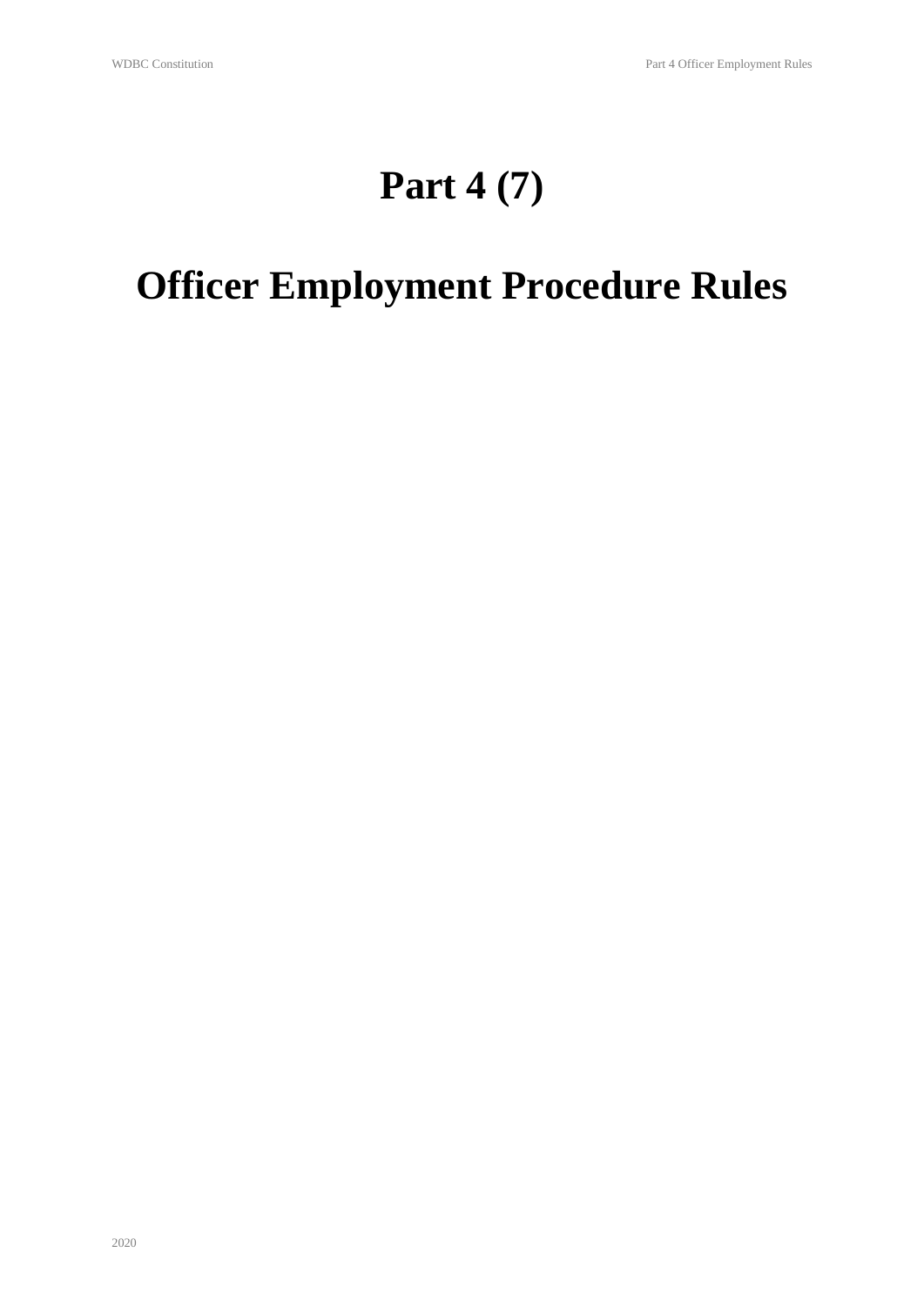## **Part 4 (7)**

# **Officer Employment Procedure Rules**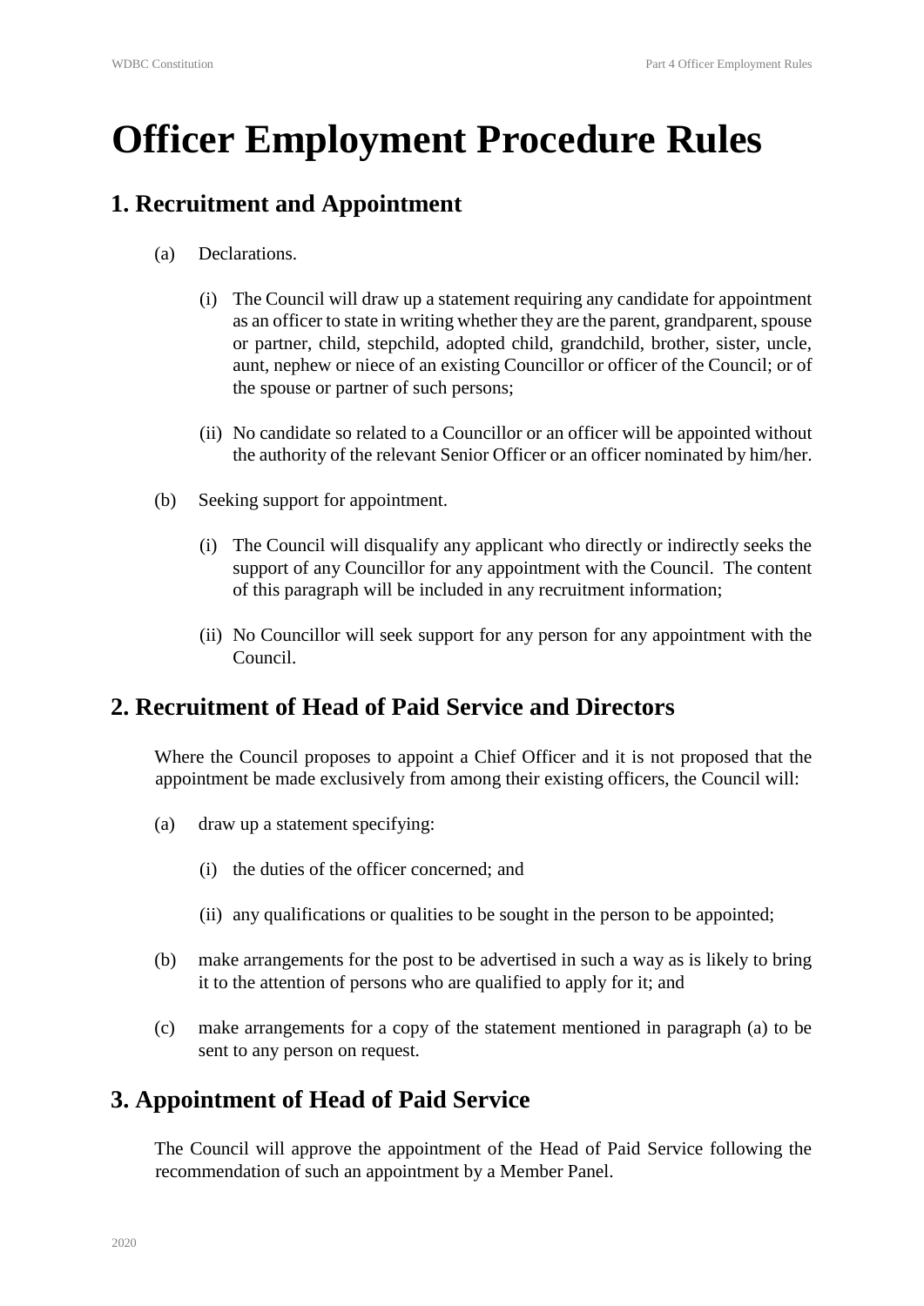# **Officer Employment Procedure Rules**

#### **1. Recruitment and Appointment**

- (a) Declarations.
	- (i) The Council will draw up a statement requiring any candidate for appointment as an officer to state in writing whether they are the parent, grandparent, spouse or partner, child, stepchild, adopted child, grandchild, brother, sister, uncle, aunt, nephew or niece of an existing Councillor or officer of the Council; or of the spouse or partner of such persons;
	- (ii) No candidate so related to a Councillor or an officer will be appointed without the authority of the relevant Senior Officer or an officer nominated by him/her.
- (b) Seeking support for appointment.
	- (i) The Council will disqualify any applicant who directly or indirectly seeks the support of any Councillor for any appointment with the Council. The content of this paragraph will be included in any recruitment information;
	- (ii) No Councillor will seek support for any person for any appointment with the Council.

#### **2. Recruitment of Head of Paid Service and Directors**

Where the Council proposes to appoint a Chief Officer and it is not proposed that the appointment be made exclusively from among their existing officers, the Council will:

- (a) draw up a statement specifying:
	- (i) the duties of the officer concerned; and
	- (ii) any qualifications or qualities to be sought in the person to be appointed;
- (b) make arrangements for the post to be advertised in such a way as is likely to bring it to the attention of persons who are qualified to apply for it; and
- (c) make arrangements for a copy of the statement mentioned in paragraph (a) to be sent to any person on request.

#### **3. Appointment of Head of Paid Service**

The Council will approve the appointment of the Head of Paid Service following the recommendation of such an appointment by a Member Panel.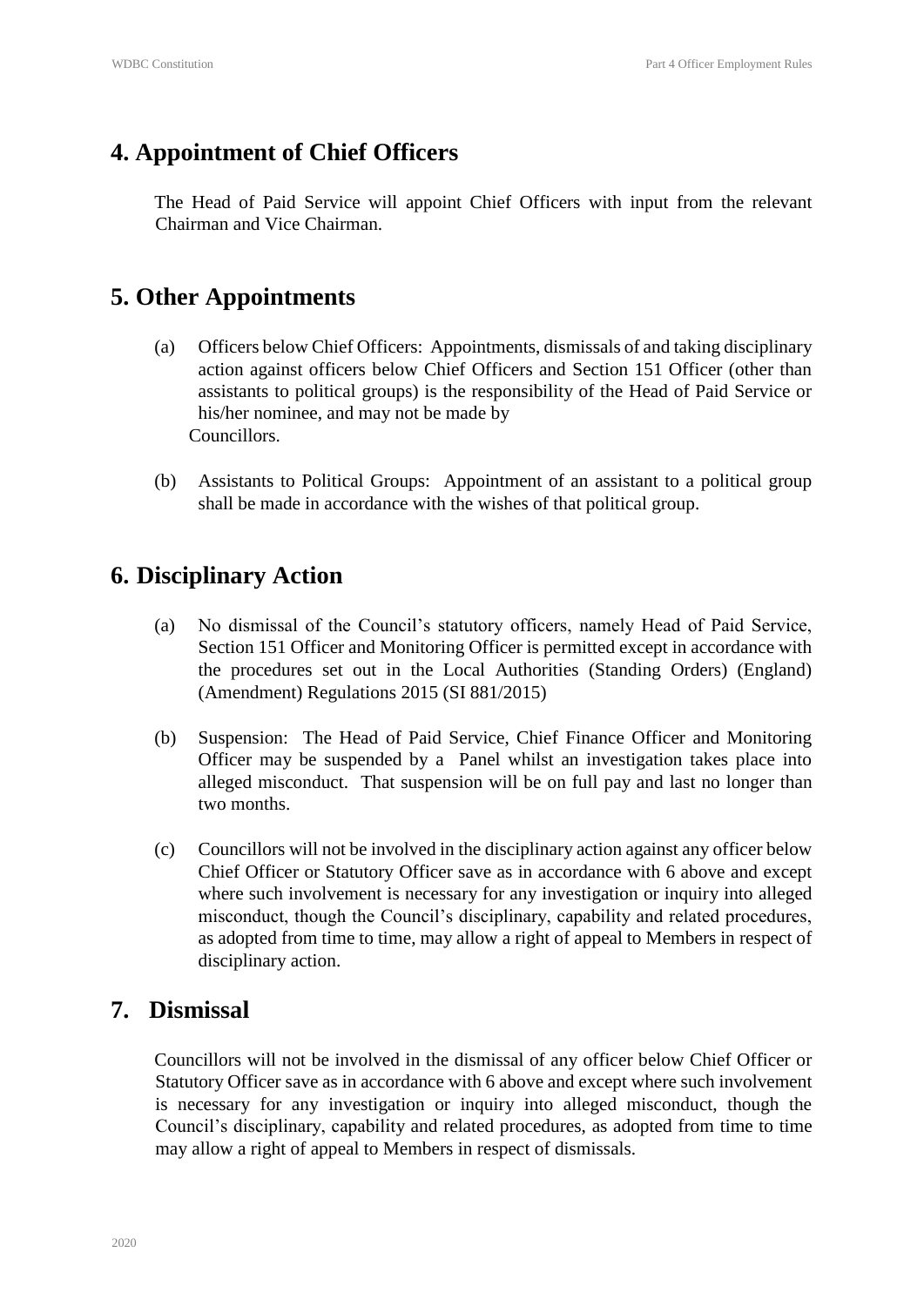### **4. Appointment of Chief Officers**

The Head of Paid Service will appoint Chief Officers with input from the relevant Chairman and Vice Chairman.

### **5. Other Appointments**

- (a) Officers below Chief Officers: Appointments, dismissals of and taking disciplinary action against officers below Chief Officers and Section 151 Officer (other than assistants to political groups) is the responsibility of the Head of Paid Service or his/her nominee, and may not be made by Councillors.
- (b) Assistants to Political Groups: Appointment of an assistant to a political group shall be made in accordance with the wishes of that political group.

### **6. Disciplinary Action**

- (a) No dismissal of the Council's statutory officers, namely Head of Paid Service, Section 151 Officer and Monitoring Officer is permitted except in accordance with the procedures set out in the Local Authorities (Standing Orders) (England) (Amendment) Regulations 2015 (SI 881/2015)
- (b) Suspension: The Head of Paid Service, Chief Finance Officer and Monitoring Officer may be suspended by a Panel whilst an investigation takes place into alleged misconduct. That suspension will be on full pay and last no longer than two months.
- (c) Councillors will not be involved in the disciplinary action against any officer below Chief Officer or Statutory Officer save as in accordance with 6 above and except where such involvement is necessary for any investigation or inquiry into alleged misconduct, though the Council's disciplinary, capability and related procedures, as adopted from time to time, may allow a right of appeal to Members in respect of disciplinary action.

#### **7. Dismissal**

Councillors will not be involved in the dismissal of any officer below Chief Officer or Statutory Officer save as in accordance with 6 above and except where such involvement is necessary for any investigation or inquiry into alleged misconduct, though the Council's disciplinary, capability and related procedures, as adopted from time to time may allow a right of appeal to Members in respect of dismissals.